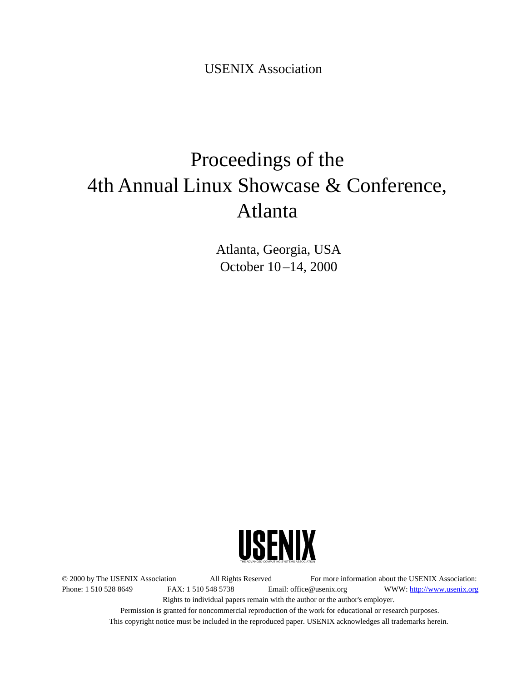USENIX Association

# Proceedings of the 4th Annual Linux Showcase & Conference, Atlanta

Atlanta, Georgia, USA October 10 –14, 2000



© 2000 by The USENIX Association All Rights Reserved For more information about the USENIX Association: Phone: 1 510 528 8649 FAX: 1 510 548 5738 Email: office@usenix.org WWW: http://www.usenix.org Rights to individual papers remain with the author or the author's employer.

> Permission is granted for noncommercial reproduction of the work for educational or research purposes. This copyright notice must be included in the reproduced paper. USENIX acknowledges all trademarks herein.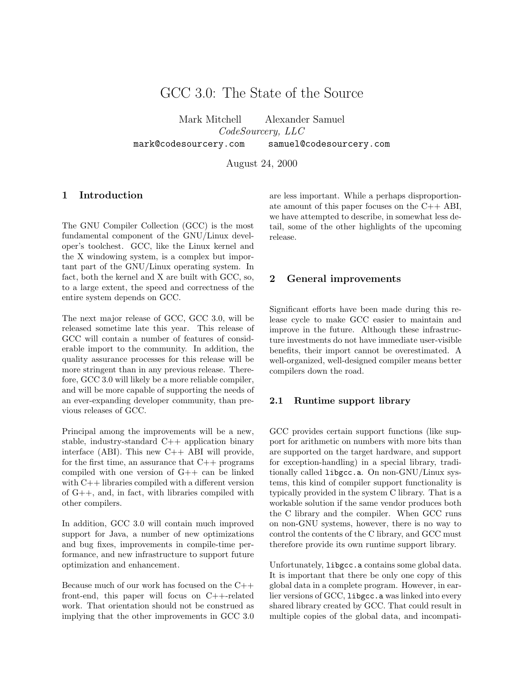# GCC 3.0: The State of the Source

Mark Mitchell Alexander Samuel CodeSourcery, LLC mark@codesourcery.com samuel@codesourcery.com

August 24, 2000

# 1 Introduction

The GNU Compiler Collection (GCC) is the most fundamental component of the GNU/Linux developer's toolchest. GCC, like the Linux kernel and the X windowing system, is a complex but important part of the GNU/Linux operating system. In fact, both the kernel and X are built with GCC, so, to a large extent, the speed and correctness of the entire system depends on GCC.

The next major release of GCC, GCC 3.0, will be released sometime late this year. This release of GCC will contain a number of features of considerable import to the community. In addition, the quality assurance processes for this release will be more stringent than in any previous release. Therefore, GCC 3.0 will likely be a more reliable compiler, and will be more capable of supporting the needs of an ever-expanding developer community, than previous releases of GCC.

Principal among the improvements will be a new, stable, industry-standard C++ application binary interface (ABI). This new C++ ABI will provide, for the first time, an assurance that  $C++$  programs compiled with one version of G++ can be linked with C++ libraries compiled with a different version of G++, and, in fact, with libraries compiled with other compilers.

In addition, GCC 3.0 will contain much improved support for Java, a number of new optimizations and bug fixes, improvements in compile-time performance, and new infrastructure to support future optimization and enhancement.

Because much of our work has focused on the C++ front-end, this paper will focus on C++-related work. That orientation should not be construed as implying that the other improvements in GCC 3.0 are less important. While a perhaps disproportionate amount of this paper focuses on the C++ ABI, we have attempted to describe, in somewhat less detail, some of the other highlights of the upcoming release.

## 2 General improvements

Significant efforts have been made during this release cycle to make GCC easier to maintain and improve in the future. Although these infrastructure investments do not have immediate user-visible benefits, their import cannot be overestimated. A well-organized, well-designed compiler means better compilers down the road.

#### 2.1 Runtime support library

GCC provides certain support functions (like support for arithmetic on numbers with more bits than are supported on the target hardware, and support for exception-handling) in a special library, traditionally called libgcc.a. On non-GNU/Linux systems, this kind of compiler support functionality is typically provided in the system C library. That is a workable solution if the same vendor produces both the C library and the compiler. When GCC runs on non-GNU systems, however, there is no way to control the contents of the C library, and GCC must therefore provide its own runtime support library.

Unfortunately, libgcc.a contains some global data. It is important that there be only one copy of this global data in a complete program. However, in earlier versions of GCC, libgcc.a was linked into every shared library created by GCC. That could result in multiple copies of the global data, and incompati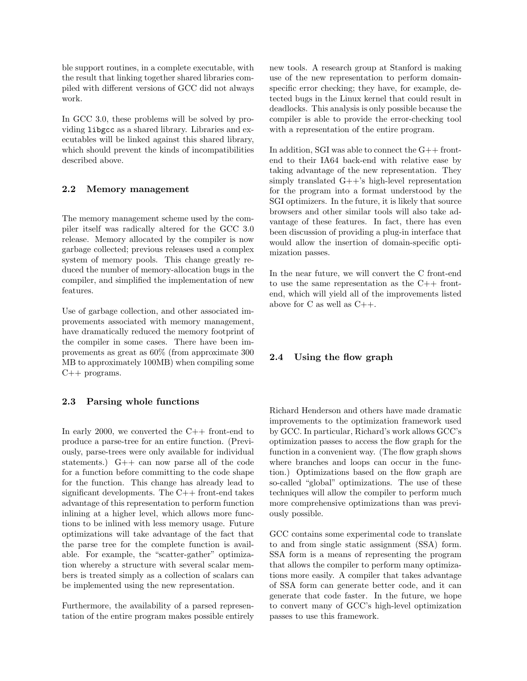ble support routines, in a complete executable, with the result that linking together shared libraries compiled with different versions of GCC did not always work.

In GCC 3.0, these problems will be solved by providing libgcc as a shared library. Libraries and executables will be linked against this shared library, which should prevent the kinds of incompatibilities described above.

#### 2.2 Memory management

The memory management scheme used by the compiler itself was radically altered for the GCC 3.0 release. Memory allocated by the compiler is now garbage collected; previous releases used a complex system of memory pools. This change greatly reduced the number of memory-allocation bugs in the compiler, and simplified the implementation of new features.

Use of garbage collection, and other associated improvements associated with memory management, have dramatically reduced the memory footprint of the compiler in some cases. There have been improvements as great as 60% (from approximate 300 MB to approximately 100MB) when compiling some C++ programs.

#### 2.3 Parsing whole functions

In early 2000, we converted the  $C++$  front-end to produce a parse-tree for an entire function. (Previously, parse-trees were only available for individual statements.) G++ can now parse all of the code for a function before committing to the code shape for the function. This change has already lead to significant developments. The  $C++$  front-end takes advantage of this representation to perform function inlining at a higher level, which allows more functions to be inlined with less memory usage. Future optimizations will take advantage of the fact that the parse tree for the complete function is available. For example, the "scatter-gather" optimization whereby a structure with several scalar members is treated simply as a collection of scalars can be implemented using the new representation.

Furthermore, the availability of a parsed representation of the entire program makes possible entirely new tools. A research group at Stanford is making use of the new representation to perform domainspecific error checking; they have, for example, detected bugs in the Linux kernel that could result in deadlocks. This analysis is only possible because the compiler is able to provide the error-checking tool with a representation of the entire program.

In addition, SGI was able to connect the  $G++$  frontend to their IA64 back-end with relative ease by taking advantage of the new representation. They simply translated G++'s high-level representation for the program into a format understood by the SGI optimizers. In the future, it is likely that source browsers and other similar tools will also take advantage of these features. In fact, there has even been discussion of providing a plug-in interface that would allow the insertion of domain-specific optimization passes.

In the near future, we will convert the C front-end to use the same representation as the C++ frontend, which will yield all of the improvements listed above for C as well as C++.

# 2.4 Using the flow graph

Richard Henderson and others have made dramatic improvements to the optimization framework used by GCC. In particular, Richard's work allows GCC's optimization passes to access the flow graph for the function in a convenient way. (The flow graph shows where branches and loops can occur in the function.) Optimizations based on the flow graph are so-called "global" optimizations. The use of these techniques will allow the compiler to perform much more comprehensive optimizations than was previously possible.

GCC contains some experimental code to translate to and from single static assignment (SSA) form. SSA form is a means of representing the program that allows the compiler to perform many optimizations more easily. A compiler that takes advantage of SSA form can generate better code, and it can generate that code faster. In the future, we hope to convert many of GCC's high-level optimization passes to use this framework.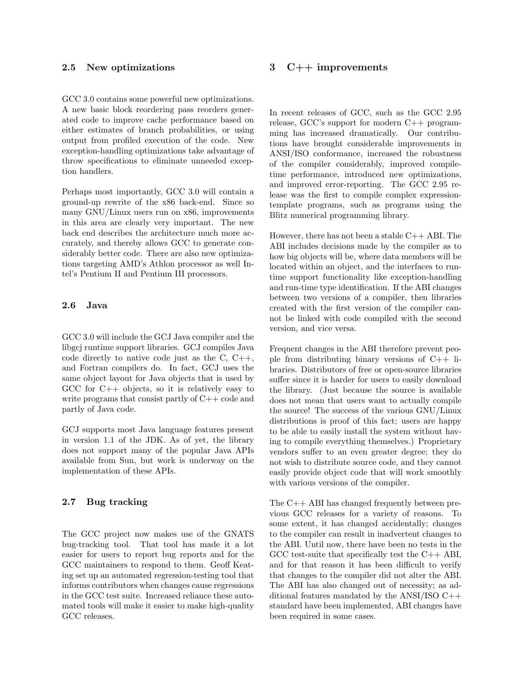#### 2.5 New optimizations

GCC 3.0 contains some powerful new optimizations. A new basic block reordering pass reorders generated code to improve cache performance based on either estimates of branch probabilities, or using output from profiled execution of the code. New exception-handling optimizations take advantage of throw specifications to eliminate unneeded exception handlers.

Perhaps most importantly, GCC 3.0 will contain a ground-up rewrite of the x86 back-end. Since so many GNU/Linux users run on x86, improvements in this area are clearly very important. The new back end describes the architecture much more accurately, and thereby allows GCC to generate considerably better code. There are also new optimizations targeting AMD's Athlon processor as well Intel's Pentium II and Pentium III processors.

#### 2.6 Java

GCC 3.0 will include the GCJ Java compiler and the libgcj runtime support libraries. GCJ compiles Java code directly to native code just as the C, C++, and Fortran compilers do. In fact, GCJ uses the same object layout for Java objects that is used by GCC for  $C_{++}$  objects, so it is relatively easy to write programs that consist partly of C++ code and partly of Java code.

GCJ supports most Java language features present in version 1.1 of the JDK. As of yet, the library does not support many of the popular Java APIs available from Sun, but work is underway on the implementation of these APIs.

#### 2.7 Bug tracking

The GCC project now makes use of the GNATS bug-tracking tool. That tool has made it a lot easier for users to report bug reports and for the GCC maintainers to respond to them. Geoff Keating set up an automated regression-testing tool that informs contributors when changes cause regressions in the GCC test suite. Increased reliance these automated tools will make it easier to make high-quality GCC releases.

# 3 C++ improvements

In recent releases of GCC, such as the GCC 2.95 release, GCC's support for modern C++ programming has increased dramatically. Our contributions have brought considerable improvements in ANSI/ISO conformance, increased the robustness of the compiler considerably, improved compiletime performance, introduced new optimizations, and improved error-reporting. The GCC 2.95 release was the first to compile complex expressiontemplate programs, such as programs using the Blitz numerical programming library.

However, there has not been a stable  $C++$  ABI. The ABI includes decisions made by the compiler as to how big objects will be, where data members will be located within an object, and the interfaces to runtime support functionality like exception-handling and run-time type identification. If the ABI changes between two versions of a compiler, then libraries created with the first version of the compiler cannot be linked with code compiled with the second version, and vice versa.

Frequent changes in the ABI therefore prevent people from distributing binary versions of C++ libraries. Distributors of free or open-source libraries suffer since it is harder for users to easily download the library. (Just because the source is available does not mean that users want to actually compile the source! The success of the various GNU/Linux distributions is proof of this fact; users are happy to be able to easily install the system without having to compile everything themselves.) Proprietary vendors suffer to an even greater degree; they do not wish to distribute source code, and they cannot easily provide object code that will work smoothly with various versions of the compiler.

The C++ ABI has changed frequently between previous GCC releases for a variety of reasons. To some extent, it has changed accidentally; changes to the compiler can result in inadvertent changes to the ABI. Until now, there have been no tests in the GCC test-suite that specifically test the C++ ABI, and for that reason it has been difficult to verify that changes to the compiler did not alter the ABI. The ABI has also changed out of necessity; as additional features mandated by the ANSI/ISO C++ standard have been implemented, ABI changes have been required in some cases.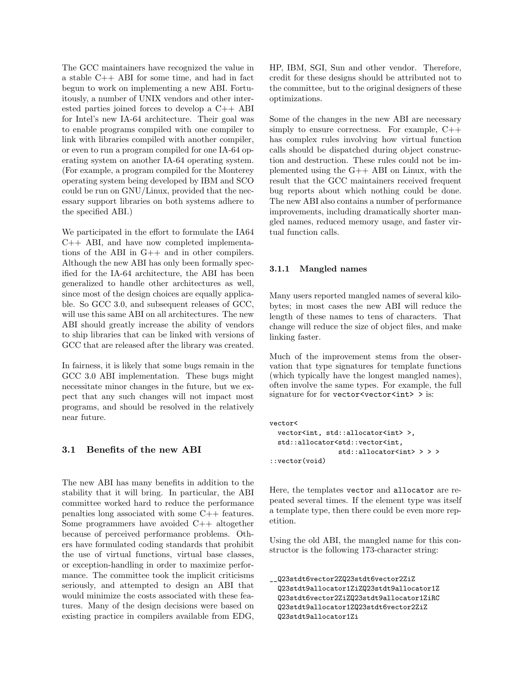The GCC maintainers have recognized the value in a stable C++ ABI for some time, and had in fact begun to work on implementing a new ABI. Fortuitously, a number of UNIX vendors and other interested parties joined forces to develop a C++ ABI for Intel's new IA-64 architecture. Their goal was to enable programs compiled with one compiler to link with libraries compiled with another compiler, or even to run a program compiled for one IA-64 operating system on another IA-64 operating system. (For example, a program compiled for the Monterey operating system being developed by IBM and SCO could be run on GNU/Linux, provided that the necessary support libraries on both systems adhere to the specified ABI.)

We participated in the effort to formulate the IA64 C++ ABI, and have now completed implementations of the ABI in G++ and in other compilers. Although the new ABI has only been formally specified for the IA-64 architecture, the ABI has been generalized to handle other architectures as well, since most of the design choices are equally applicable. So GCC 3.0, and subsequent releases of GCC, will use this same ABI on all architectures. The new ABI should greatly increase the ability of vendors to ship libraries that can be linked with versions of GCC that are released after the library was created.

In fairness, it is likely that some bugs remain in the GCC 3.0 ABI implementation. These bugs might necessitate minor changes in the future, but we expect that any such changes will not impact most programs, and should be resolved in the relatively near future.

#### 3.1 Benefits of the new ABI

The new ABI has many benefits in addition to the stability that it will bring. In particular, the ABI committee worked hard to reduce the performance penalties long associated with some C++ features. Some programmers have avoided C++ altogether because of perceived performance problems. Others have formulated coding standards that prohibit the use of virtual functions, virtual base classes, or exception-handling in order to maximize performance. The committee took the implicit criticisms seriously, and attempted to design an ABI that would minimize the costs associated with these features. Many of the design decisions were based on existing practice in compilers available from EDG,

HP, IBM, SGI, Sun and other vendor. Therefore, credit for these designs should be attributed not to the committee, but to the original designers of these optimizations.

Some of the changes in the new ABI are necessary simply to ensure correctness. For example,  $C++$ has complex rules involving how virtual function calls should be dispatched during object construction and destruction. These rules could not be implemented using the G++ ABI on Linux, with the result that the GCC maintainers received frequent bug reports about which nothing could be done. The new ABI also contains a number of performance improvements, including dramatically shorter mangled names, reduced memory usage, and faster virtual function calls.

#### 3.1.1 Mangled names

Many users reported mangled names of several kilobytes; in most cases the new ABI will reduce the length of these names to tens of characters. That change will reduce the size of object files, and make linking faster.

Much of the improvement stems from the observation that type signatures for template functions (which typically have the longest mangled names), often involve the same types. For example, the full signature for for vector  $\prec$ vector $\prec$ int $\gt$  is:

```
vector<
  vector<int, std::allocator<int>>,
  std::allocator<std::vector<int,
                 std::allocator<int> > > >
::vector(void)
```
Here, the templates vector and allocator are repeated several times. If the element type was itself a template type, then there could be even more repetition.

Using the old ABI, the mangled name for this constructor is the following 173-character string:

```
__Q23stdt6vector2ZQ23stdt6vector2ZiZ
  Q23stdt9allocator1ZiZQ23stdt9allocator1Z
  Q23stdt6vector2ZiZQ23stdt9allocator1ZiRC
  Q23stdt9allocator1ZQ23stdt6vector2ZiZ
  Q23stdt9allocator1Zi
```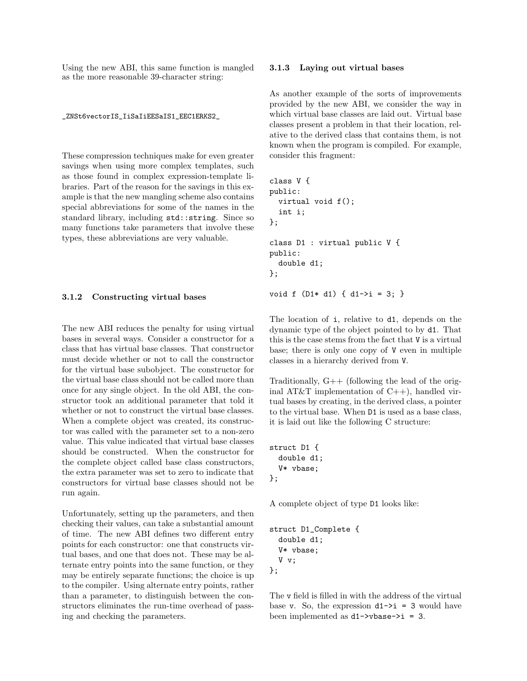Using the new ABI, this same function is mangled as the more reasonable 39-character string:

\_ZNSt6vectorIS\_IiSaIiEESaIS1\_EEC1ERKS2\_

These compression techniques make for even greater savings when using more complex templates, such as those found in complex expression-template libraries. Part of the reason for the savings in this example is that the new mangling scheme also contains special abbreviations for some of the names in the standard library, including std::string. Since so many functions take parameters that involve these types, these abbreviations are very valuable.

#### 3.1.2 Constructing virtual bases

The new ABI reduces the penalty for using virtual bases in several ways. Consider a constructor for a class that has virtual base classes. That constructor must decide whether or not to call the constructor for the virtual base subobject. The constructor for the virtual base class should not be called more than once for any single object. In the old ABI, the constructor took an additional parameter that told it whether or not to construct the virtual base classes. When a complete object was created, its constructor was called with the parameter set to a non-zero value. This value indicated that virtual base classes should be constructed. When the constructor for the complete object called base class constructors, the extra parameter was set to zero to indicate that constructors for virtual base classes should not be run again.

Unfortunately, setting up the parameters, and then checking their values, can take a substantial amount of time. The new ABI defines two different entry points for each constructor: one that constructs virtual bases, and one that does not. These may be alternate entry points into the same function, or they may be entirely separate functions; the choice is up to the compiler. Using alternate entry points, rather than a parameter, to distinguish between the constructors eliminates the run-time overhead of passing and checking the parameters.

#### 3.1.3 Laying out virtual bases

As another example of the sorts of improvements provided by the new ABI, we consider the way in which virtual base classes are laid out. Virtual base classes present a problem in that their location, relative to the derived class that contains them, is not known when the program is compiled. For example, consider this fragment:

```
class V {
public:
  virtual void f();
  int i;
};
class D1 : virtual public V {
public:
  double d1;
};
void f (D1* d1) { d1->i = 3; }
```
The location of i, relative to d1, depends on the dynamic type of the object pointed to by d1. That this is the case stems from the fact that V is a virtual base; there is only one copy of V even in multiple classes in a hierarchy derived from V.

Traditionally, G++ (following the lead of the original AT&T implementation of  $C++$ ), handled virtual bases by creating, in the derived class, a pointer to the virtual base. When D1 is used as a base class, it is laid out like the following C structure:

```
struct D1 {
  double d1;
  V* vbase;
};
```
A complete object of type D1 looks like:

```
struct D1_Complete {
  double d1;
  V* vbase;
  V v;
};
```
The v field is filled in with the address of the virtual base v. So, the expression  $d1-\overline{\phantom{a}}=3$  would have been implemented as d1->vbase->i = 3.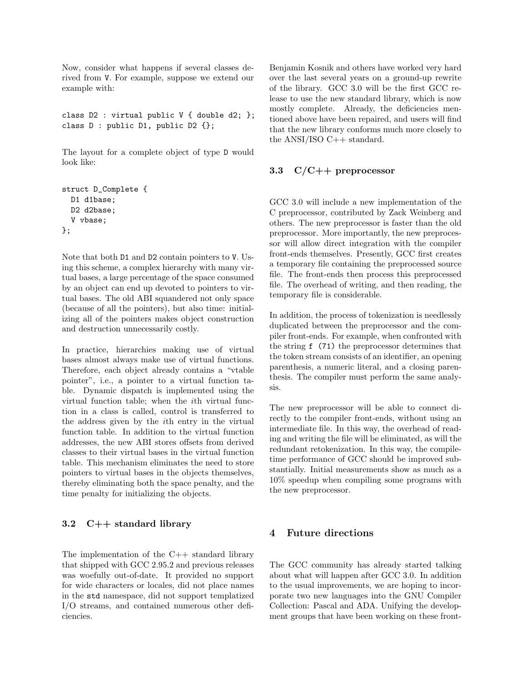Now, consider what happens if several classes derived from V. For example, suppose we extend our example with:

```
class D2 : virtual public V { double d2; };
class D : public D1, public D2 {};
```
The layout for a complete object of type D would look like:

```
struct D_Complete {
  D1 d1base;
  D2 d2base;
  V vbase;
};
```
Note that both D1 and D2 contain pointers to V. Using this scheme, a complex hierarchy with many virtual bases, a large percentage of the space consumed by an object can end up devoted to pointers to virtual bases. The old ABI squandered not only space (because of all the pointers), but also time: initializing all of the pointers makes object construction and destruction unnecessarily costly.

In practice, hierarchies making use of virtual bases almost always make use of virtual functions. Therefore, each object already contains a "vtable pointer", i.e., a pointer to a virtual function table. Dynamic dispatch is implemented using the virtual function table; when the ith virtual function in a class is called, control is transferred to the address given by the ith entry in the virtual function table. In addition to the virtual function addresses, the new ABI stores offsets from derived classes to their virtual bases in the virtual function table. This mechanism eliminates the need to store pointers to virtual bases in the objects themselves, thereby eliminating both the space penalty, and the time penalty for initializing the objects.

# 3.2 C++ standard library

The implementation of the  $C++$  standard library that shipped with GCC 2.95.2 and previous releases was woefully out-of-date. It provided no support for wide characters or locales, did not place names in the std namespace, did not support templatized I/O streams, and contained numerous other deficiencies.

Benjamin Kosnik and others have worked very hard over the last several years on a ground-up rewrite of the library. GCC 3.0 will be the first GCC release to use the new standard library, which is now mostly complete. Already, the deficiencies mentioned above have been repaired, and users will find that the new library conforms much more closely to the ANSI/ISO  $C_{++}$  standard.

# 3.3 C/C++ preprocessor

GCC 3.0 will include a new implementation of the C preprocessor, contributed by Zack Weinberg and others. The new preprocessor is faster than the old preprocessor. More importantly, the new preprocessor will allow direct integration with the compiler front-ends themselves. Presently, GCC first creates a temporary file containing the preprocessed source file. The front-ends then process this preprocessed file. The overhead of writing, and then reading, the temporary file is considerable.

In addition, the process of tokenization is needlessly duplicated between the preprocessor and the compiler front-ends. For example, when confronted with the string f (71) the preprocessor determines that the token stream consists of an identifier, an opening parenthesis, a numeric literal, and a closing parenthesis. The compiler must perform the same analysis.

The new preprocessor will be able to connect directly to the compiler front-ends, without using an intermediate file. In this way, the overhead of reading and writing the file will be eliminated, as will the redundant retokenization. In this way, the compiletime performance of GCC should be improved substantially. Initial measurements show as much as a 10% speedup when compiling some programs with the new preprocessor.

# 4 Future directions

The GCC community has already started talking about what will happen after GCC 3.0. In addition to the usual improvements, we are hoping to incorporate two new languages into the GNU Compiler Collection: Pascal and ADA. Unifying the development groups that have been working on these front